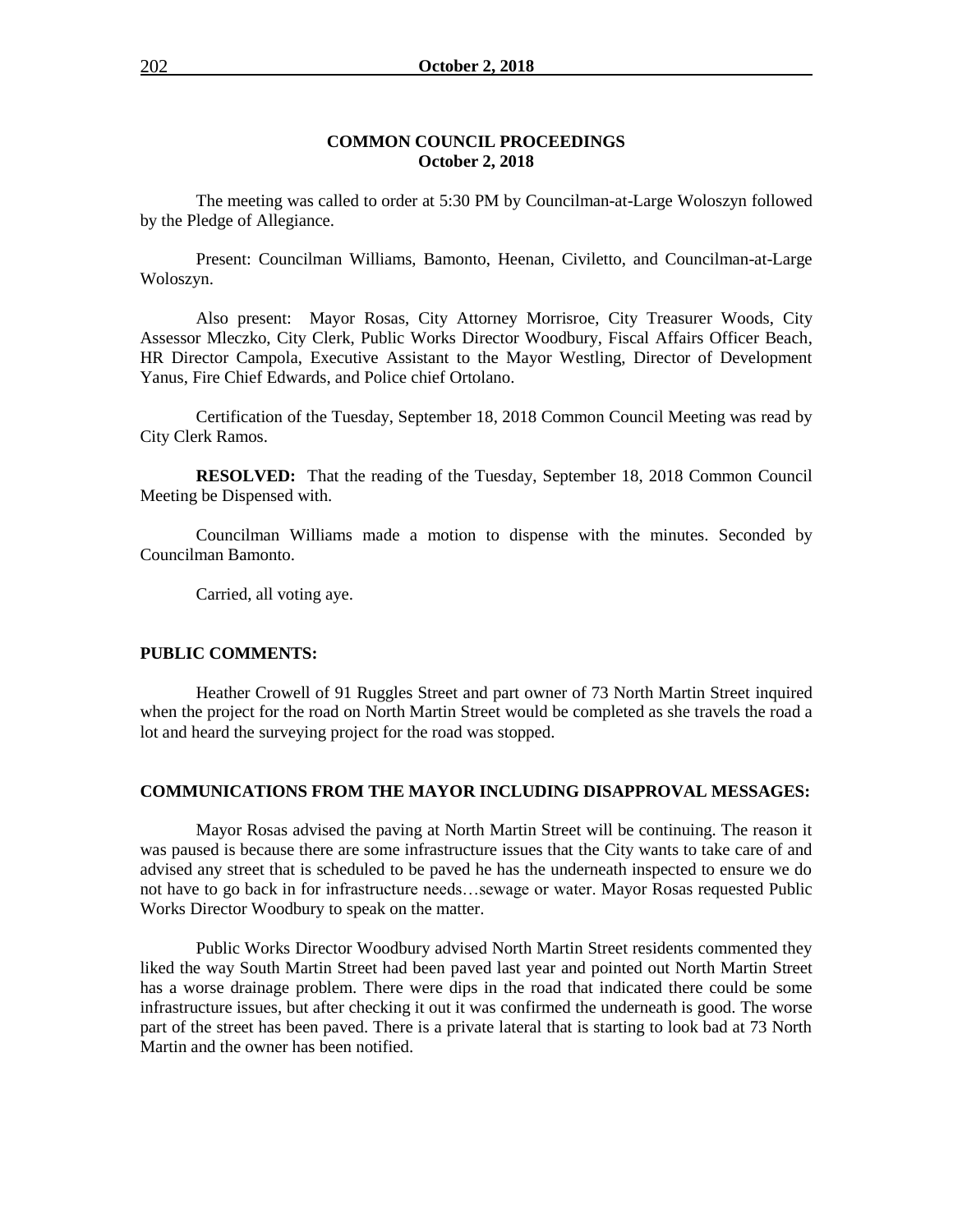### **COMMON COUNCIL PROCEEDINGS October 2, 2018**

The meeting was called to order at 5:30 PM by Councilman-at-Large Woloszyn followed by the Pledge of Allegiance.

Present: Councilman Williams, Bamonto, Heenan, Civiletto, and Councilman-at-Large Woloszyn.

Also present: Mayor Rosas, City Attorney Morrisroe, City Treasurer Woods, City Assessor Mleczko, City Clerk, Public Works Director Woodbury, Fiscal Affairs Officer Beach, HR Director Campola, Executive Assistant to the Mayor Westling, Director of Development Yanus, Fire Chief Edwards, and Police chief Ortolano.

Certification of the Tuesday, September 18, 2018 Common Council Meeting was read by City Clerk Ramos.

**RESOLVED:** That the reading of the Tuesday, September 18, 2018 Common Council Meeting be Dispensed with.

Councilman Williams made a motion to dispense with the minutes. Seconded by Councilman Bamonto.

Carried, all voting aye.

#### **PUBLIC COMMENTS:**

Heather Crowell of 91 Ruggles Street and part owner of 73 North Martin Street inquired when the project for the road on North Martin Street would be completed as she travels the road a lot and heard the surveying project for the road was stopped.

### **COMMUNICATIONS FROM THE MAYOR INCLUDING DISAPPROVAL MESSAGES:**

Mayor Rosas advised the paving at North Martin Street will be continuing. The reason it was paused is because there are some infrastructure issues that the City wants to take care of and advised any street that is scheduled to be paved he has the underneath inspected to ensure we do not have to go back in for infrastructure needs…sewage or water. Mayor Rosas requested Public Works Director Woodbury to speak on the matter.

Public Works Director Woodbury advised North Martin Street residents commented they liked the way South Martin Street had been paved last year and pointed out North Martin Street has a worse drainage problem. There were dips in the road that indicated there could be some infrastructure issues, but after checking it out it was confirmed the underneath is good. The worse part of the street has been paved. There is a private lateral that is starting to look bad at 73 North Martin and the owner has been notified.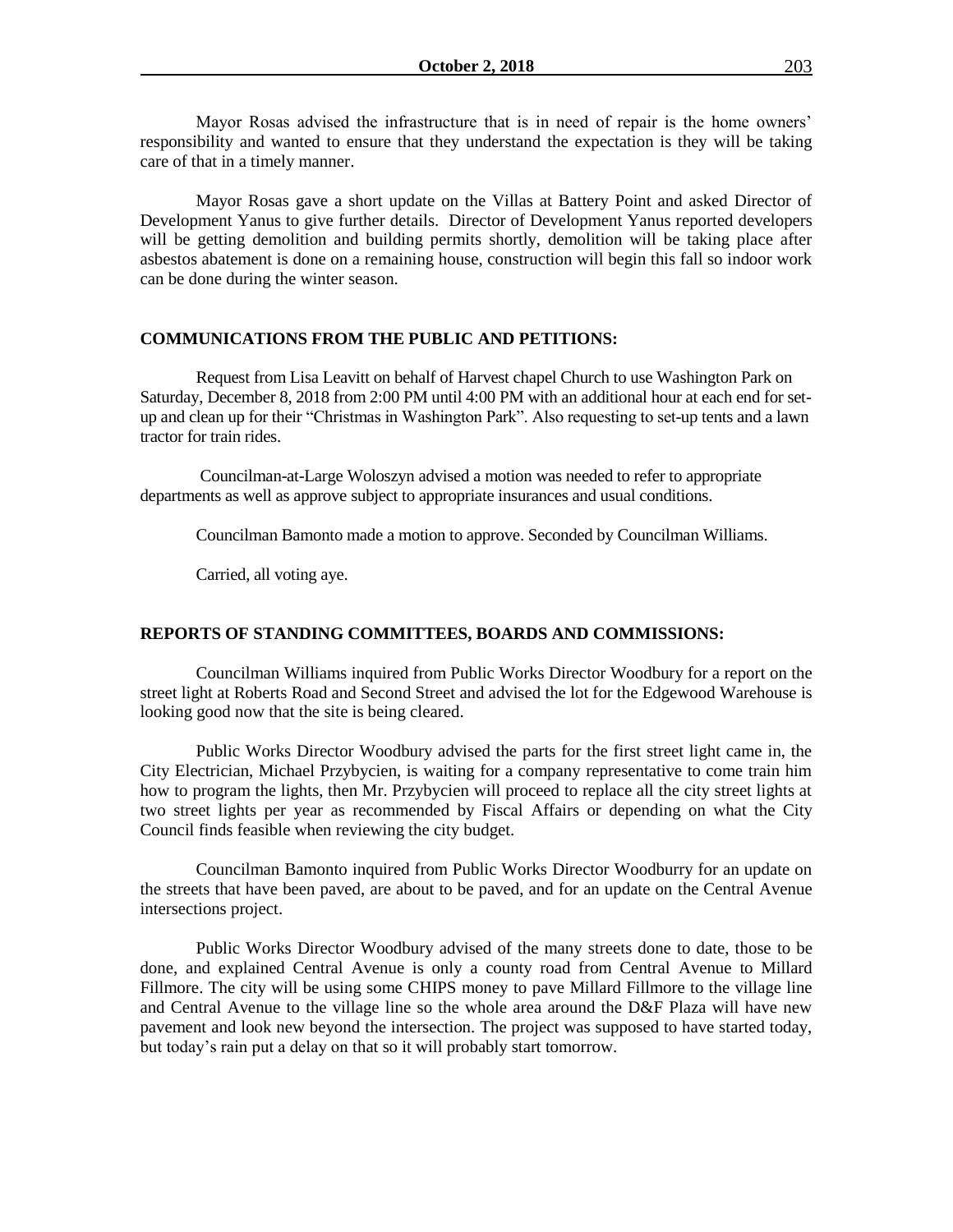Mayor Rosas advised the infrastructure that is in need of repair is the home owners' responsibility and wanted to ensure that they understand the expectation is they will be taking care of that in a timely manner.

Mayor Rosas gave a short update on the Villas at Battery Point and asked Director of Development Yanus to give further details. Director of Development Yanus reported developers will be getting demolition and building permits shortly, demolition will be taking place after asbestos abatement is done on a remaining house, construction will begin this fall so indoor work can be done during the winter season.

### **COMMUNICATIONS FROM THE PUBLIC AND PETITIONS:**

Request from Lisa Leavitt on behalf of Harvest chapel Church to use Washington Park on Saturday, December 8, 2018 from 2:00 PM until 4:00 PM with an additional hour at each end for setup and clean up for their "Christmas in Washington Park". Also requesting to set-up tents and a lawn tractor for train rides.

Councilman-at-Large Woloszyn advised a motion was needed to refer to appropriate departments as well as approve subject to appropriate insurances and usual conditions.

Councilman Bamonto made a motion to approve. Seconded by Councilman Williams.

Carried, all voting aye.

### **REPORTS OF STANDING COMMITTEES, BOARDS AND COMMISSIONS:**

Councilman Williams inquired from Public Works Director Woodbury for a report on the street light at Roberts Road and Second Street and advised the lot for the Edgewood Warehouse is looking good now that the site is being cleared.

Public Works Director Woodbury advised the parts for the first street light came in, the City Electrician, Michael Przybycien, is waiting for a company representative to come train him how to program the lights, then Mr. Przybycien will proceed to replace all the city street lights at two street lights per year as recommended by Fiscal Affairs or depending on what the City Council finds feasible when reviewing the city budget.

Councilman Bamonto inquired from Public Works Director Woodburry for an update on the streets that have been paved, are about to be paved, and for an update on the Central Avenue intersections project.

Public Works Director Woodbury advised of the many streets done to date, those to be done, and explained Central Avenue is only a county road from Central Avenue to Millard Fillmore. The city will be using some CHIPS money to pave Millard Fillmore to the village line and Central Avenue to the village line so the whole area around the D&F Plaza will have new pavement and look new beyond the intersection. The project was supposed to have started today, but today's rain put a delay on that so it will probably start tomorrow.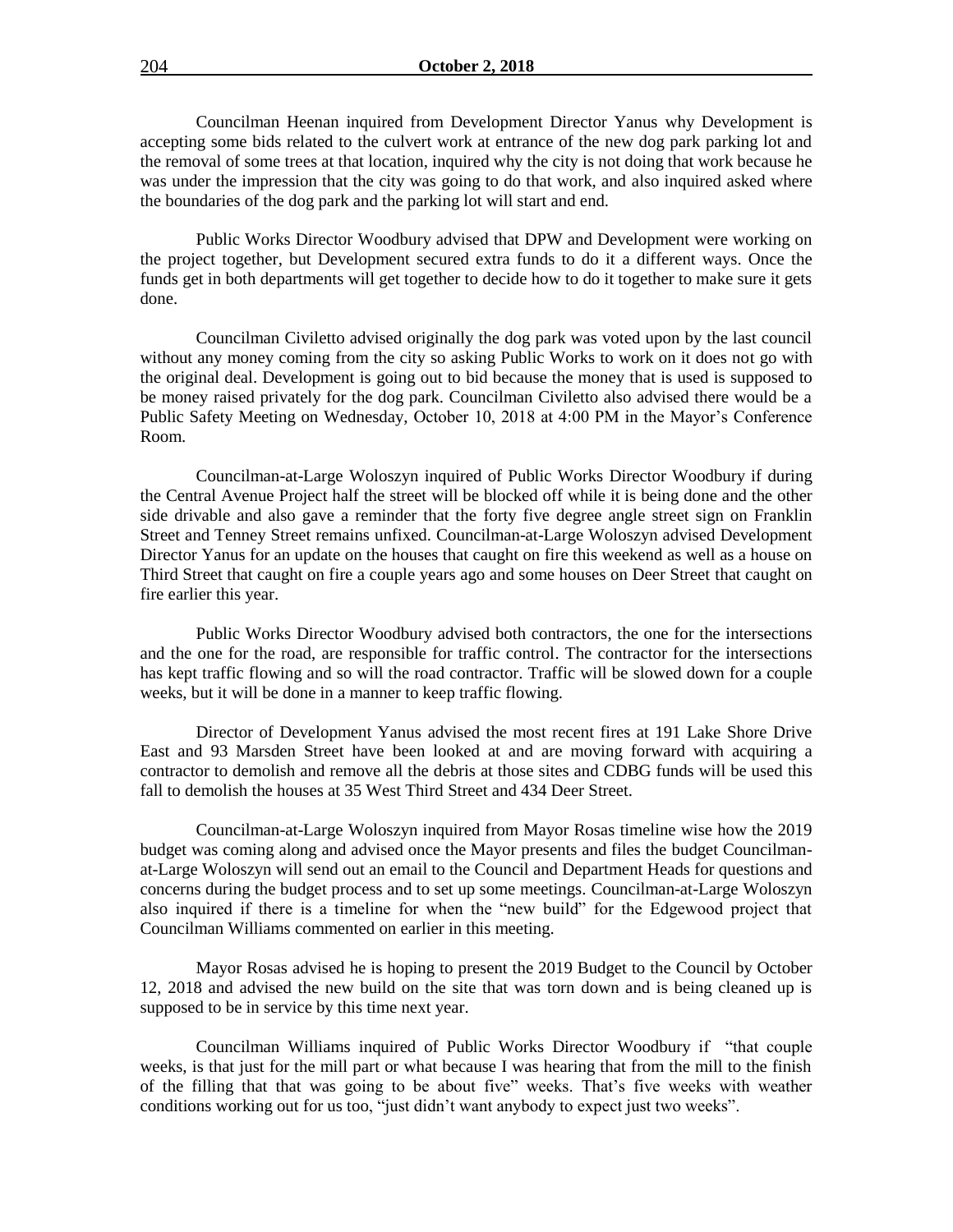Councilman Heenan inquired from Development Director Yanus why Development is accepting some bids related to the culvert work at entrance of the new dog park parking lot and the removal of some trees at that location, inquired why the city is not doing that work because he was under the impression that the city was going to do that work, and also inquired asked where the boundaries of the dog park and the parking lot will start and end.

Public Works Director Woodbury advised that DPW and Development were working on the project together, but Development secured extra funds to do it a different ways. Once the funds get in both departments will get together to decide how to do it together to make sure it gets done.

Councilman Civiletto advised originally the dog park was voted upon by the last council without any money coming from the city so asking Public Works to work on it does not go with the original deal. Development is going out to bid because the money that is used is supposed to be money raised privately for the dog park. Councilman Civiletto also advised there would be a Public Safety Meeting on Wednesday, October 10, 2018 at 4:00 PM in the Mayor's Conference Room.

Councilman-at-Large Woloszyn inquired of Public Works Director Woodbury if during the Central Avenue Project half the street will be blocked off while it is being done and the other side drivable and also gave a reminder that the forty five degree angle street sign on Franklin Street and Tenney Street remains unfixed. Councilman-at-Large Woloszyn advised Development Director Yanus for an update on the houses that caught on fire this weekend as well as a house on Third Street that caught on fire a couple years ago and some houses on Deer Street that caught on fire earlier this year.

Public Works Director Woodbury advised both contractors, the one for the intersections and the one for the road, are responsible for traffic control. The contractor for the intersections has kept traffic flowing and so will the road contractor. Traffic will be slowed down for a couple weeks, but it will be done in a manner to keep traffic flowing.

Director of Development Yanus advised the most recent fires at 191 Lake Shore Drive East and 93 Marsden Street have been looked at and are moving forward with acquiring a contractor to demolish and remove all the debris at those sites and CDBG funds will be used this fall to demolish the houses at 35 West Third Street and 434 Deer Street.

Councilman-at-Large Woloszyn inquired from Mayor Rosas timeline wise how the 2019 budget was coming along and advised once the Mayor presents and files the budget Councilmanat-Large Woloszyn will send out an email to the Council and Department Heads for questions and concerns during the budget process and to set up some meetings. Councilman-at-Large Woloszyn also inquired if there is a timeline for when the "new build" for the Edgewood project that Councilman Williams commented on earlier in this meeting.

Mayor Rosas advised he is hoping to present the 2019 Budget to the Council by October 12, 2018 and advised the new build on the site that was torn down and is being cleaned up is supposed to be in service by this time next year.

Councilman Williams inquired of Public Works Director Woodbury if "that couple weeks, is that just for the mill part or what because I was hearing that from the mill to the finish of the filling that that was going to be about five" weeks. That's five weeks with weather conditions working out for us too, "just didn't want anybody to expect just two weeks".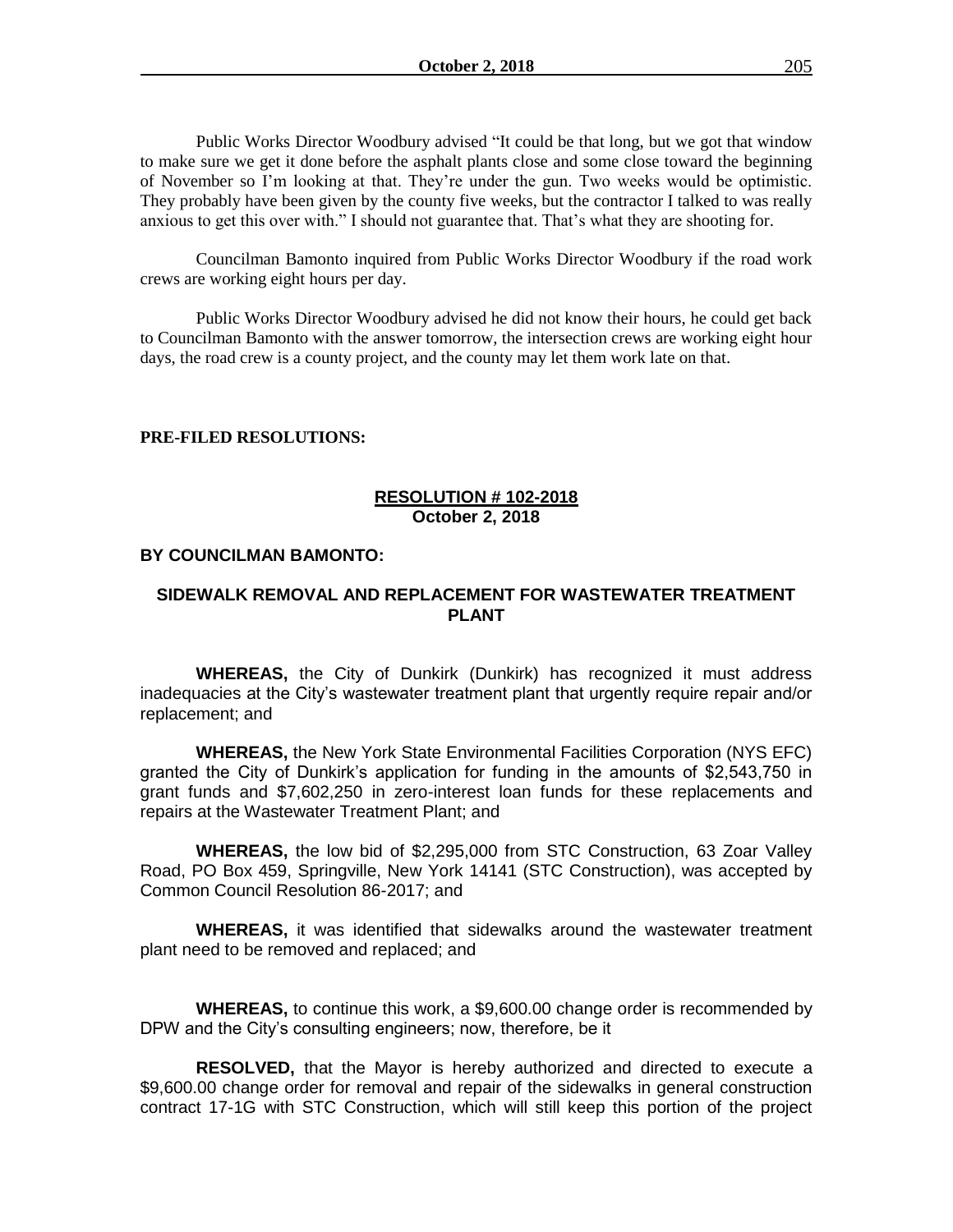Public Works Director Woodbury advised "It could be that long, but we got that window to make sure we get it done before the asphalt plants close and some close toward the beginning of November so I'm looking at that. They're under the gun. Two weeks would be optimistic. They probably have been given by the county five weeks, but the contractor I talked to was really anxious to get this over with." I should not guarantee that. That's what they are shooting for.

Councilman Bamonto inquired from Public Works Director Woodbury if the road work crews are working eight hours per day.

Public Works Director Woodbury advised he did not know their hours, he could get back to Councilman Bamonto with the answer tomorrow, the intersection crews are working eight hour days, the road crew is a county project, and the county may let them work late on that.

### **PRE-FILED RESOLUTIONS:**

## **RESOLUTION # 102-2018 October 2, 2018**

#### **BY COUNCILMAN BAMONTO:**

## **SIDEWALK REMOVAL AND REPLACEMENT FOR WASTEWATER TREATMENT PLANT**

**WHEREAS,** the City of Dunkirk (Dunkirk) has recognized it must address inadequacies at the City's wastewater treatment plant that urgently require repair and/or replacement; and

**WHEREAS,** the New York State Environmental Facilities Corporation (NYS EFC) granted the City of Dunkirk's application for funding in the amounts of \$2,543,750 in grant funds and \$7,602,250 in zero-interest loan funds for these replacements and repairs at the Wastewater Treatment Plant; and

**WHEREAS,** the low bid of \$2,295,000 from STC Construction, 63 Zoar Valley Road, PO Box 459, Springville, New York 14141 (STC Construction), was accepted by Common Council Resolution 86-2017; and

**WHEREAS,** it was identified that sidewalks around the wastewater treatment plant need to be removed and replaced; and

**WHEREAS,** to continue this work, a \$9,600.00 change order is recommended by DPW and the City's consulting engineers; now, therefore, be it

**RESOLVED,** that the Mayor is hereby authorized and directed to execute a \$9,600.00 change order for removal and repair of the sidewalks in general construction contract 17-1G with STC Construction, which will still keep this portion of the project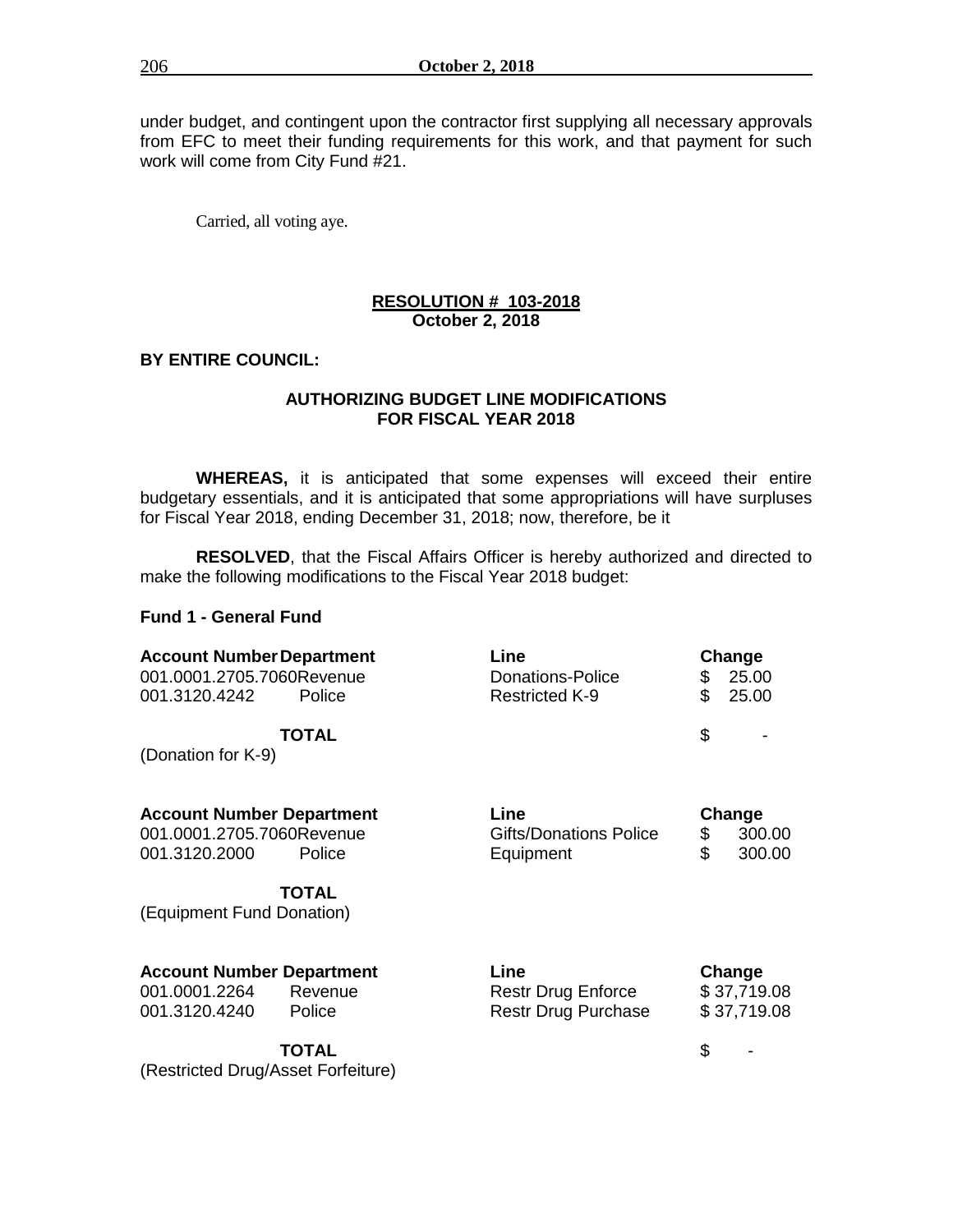under budget, and contingent upon the contractor first supplying all necessary approvals from EFC to meet their funding requirements for this work, and that payment for such work will come from City Fund #21.

Carried, all voting aye.

## **RESOLUTION # 103-2018 October 2, 2018**

## **BY ENTIRE COUNCIL:**

## **AUTHORIZING BUDGET LINE MODIFICATIONS FOR FISCAL YEAR 2018**

**WHEREAS,** it is anticipated that some expenses will exceed their entire budgetary essentials, and it is anticipated that some appropriations will have surpluses for Fiscal Year 2018, ending December 31, 2018; now, therefore, be it

**RESOLVED**, that the Fiscal Affairs Officer is hereby authorized and directed to make the following modifications to the Fiscal Year 2018 budget:

## **Fund 1 - General Fund**

| <b>Account Number Department</b>   | Line                          | Change       |
|------------------------------------|-------------------------------|--------------|
| 001.0001.2705.7060Revenue          | Donations-Police              | 25.00<br>\$  |
| 001.3120.4242<br>Police            | <b>Restricted K-9</b>         | \$<br>25.00  |
| <b>TOTAL</b>                       |                               | \$           |
| (Donation for K-9)                 |                               |              |
| <b>Account Number Department</b>   | Line                          | Change       |
| 001.0001.2705.7060Revenue          | <b>Gifts/Donations Police</b> | \$<br>300.00 |
| 001.3120.2000<br>Police            | Equipment                     | \$<br>300.00 |
| <b>TOTAL</b>                       |                               |              |
| (Equipment Fund Donation)          |                               |              |
| <b>Account Number Department</b>   | Line                          | Change       |
| 001.0001.2264<br>Revenue           | <b>Restr Drug Enforce</b>     | \$37,719.08  |
| 001.3120.4240<br>Police            | Restr Drug Purchase           | \$37,719.08  |
| <b>TOTAL</b>                       |                               | \$           |
| (Restricted Drug/Asset Forfeiture) |                               |              |